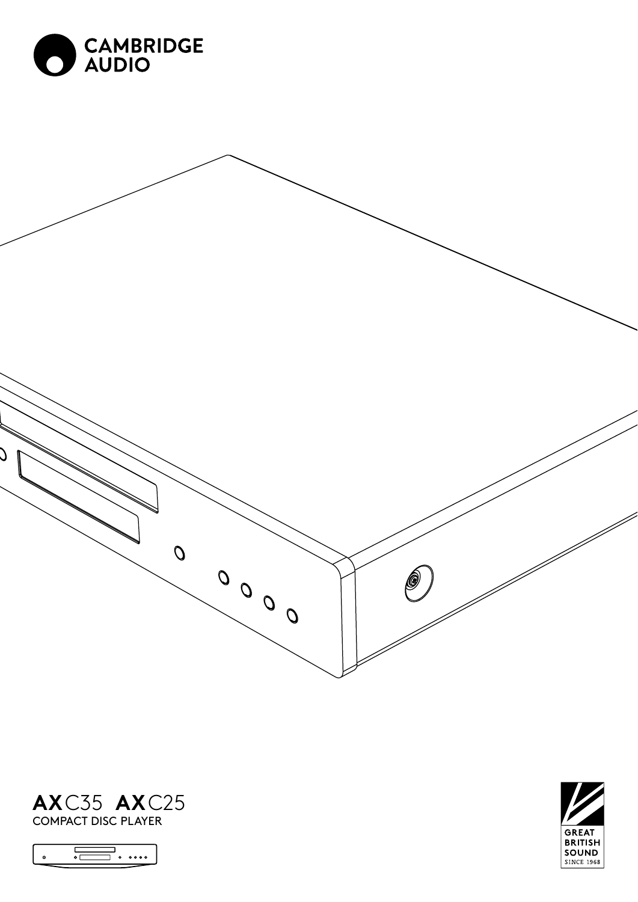







COMPACT DISC PLAYER

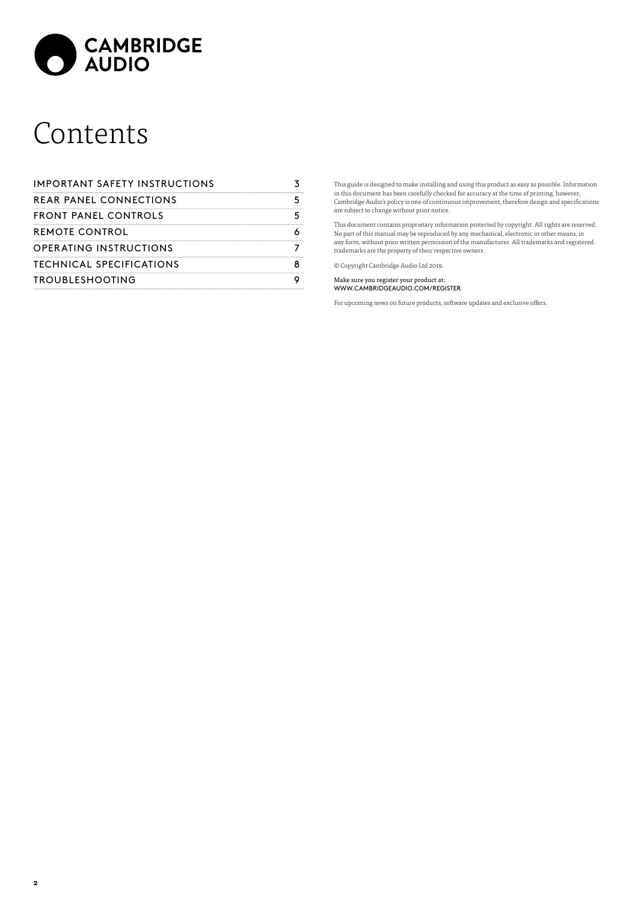

# Contents

| IMPORTANT SAFETY INSTRUCTIONS |  |
|-------------------------------|--|
| REAR PANEL CONNECTIONS        |  |
| FRONT PANEL CONTROLS          |  |
| REMOTE CONTROL                |  |
| OPERATING INSTRUCTIONS        |  |
| TECHNICAL SPECIFICATIONS      |  |
| <b>TROUBLESHOOTING</b>        |  |

This guide is designed to make installing and using this product as easy as possible. Information<br>in this document has been carefully checked for accuracy at the time of printing; however,<br>Cambridge Audio's policy is one o are subject to change without prior notice.

This document contains proprietary information protected by copyright. All rights are reserved. No part of this manual may be reproduced by any mechanical, electronic or other means, in any form, without prior written permission of the manufacturer. All trademarks and registered trademarks are the property of their respective owners.

© Copyright Cambridge Audio Ltd 2019.

Make sure you register your product at: WWW.CAMBRIDGEAUDIO.COM/REGISTER

For upcoming news on future products, software updates and exclusive offers.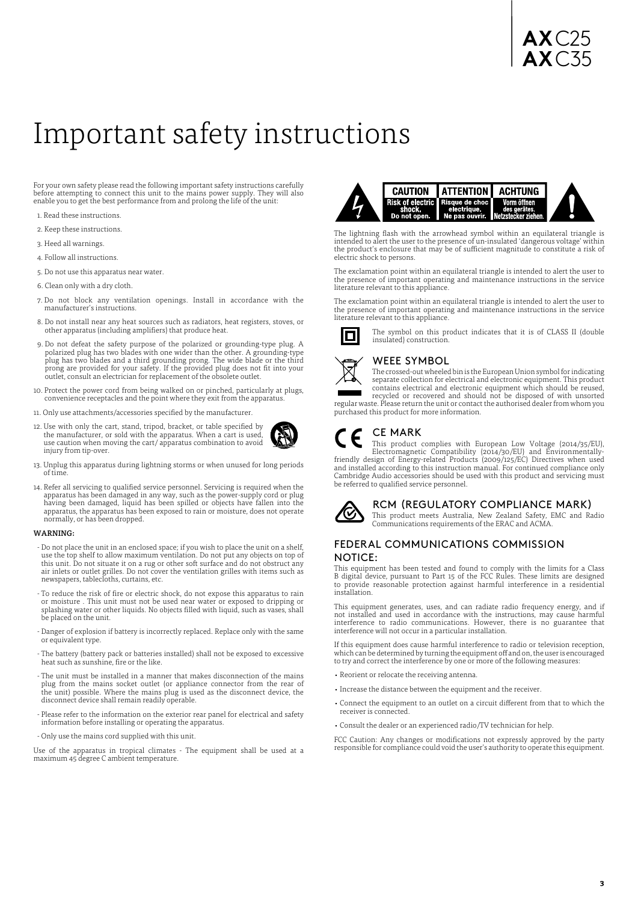# <span id="page-2-0"></span>Important safety instructions

For your own safety please read the following important safety instructions carefully before attempting to connect this unit to the mains power supply. They will also enable you to get the best performance from and prolong the life of the unit:

- 1. Read these instructions.
- 2. Keep these instructions.
- 3. Heed all warnings.
- 4. Follow all instructions.
- 5. Do not use this apparatus near water.
- 6. Clean only with a dry cloth.
- 7. Do not block any ventilation openings. Install in accordance with the manufacturer's instructions.
- 8. Do not install near any heat sources such as radiators, heat registers, stoves, or other apparatus (including amplifiers) that produce heat.
- 9. Do not defeat the safety purpose of the polarized or grounding-type plug. A polarized plug has two blades with one wider than the other. A grounding-type plug has two blades and a third grounding prong. The wide blade or the third prong are provided for your safety. If the provided plug does not fit into your outlet, consult an electrician for replacement of the obsolete outlet.
- 10. Protect the power cord from being walked on or pinched, particularly at plugs, convenience receptacles and the point where they exit from the apparatus.
- 11. Only use attachments/accessories specified by the manufacturer.
- 12. Use with only the cart, stand, tripod, bracket, or table specified by the manufacturer, or sold with the apparatus. When a cart is used, use caution when moving the cart/ apparatus combination to avoid injury from tip-over.



14. Refer all servicing to qualified service personnel. Servicing is required when the apparatus has been damaged in any way, such as the power-supply cord or plug<br>having been damaged, liquid has been spilled or objects have fallen into the<br>apparatus, the apparatus has been exposed to rain or moisture, does normally, or has been dropped.

#### WARNING:

- Do not place the unit in an enclosed space; if you wish to place the unit on a shelf, use the top shelf to allow maximum ventilation. Do not put any objects on top of this unit. Do not situate it on a rug or other soft surface and do not obstruct any air inlets or outlet grilles. Do not cover the ventilation grilles with items such as newspapers, tablecloths, curtains, etc.
- To reduce the risk of fire or electric shock, do not expose this apparatus to rain or moisture . This unit must not be used near water or exposed to dripping or splashing water or other liquids. No objects filled with liquid, such as vases, shall be placed on the unit.
- Danger of explosion if battery is incorrectly replaced. Replace only with the same or equivalent type.
- The battery (battery pack or batteries installed) shall not be exposed to excessive heat such as sunshine, fire or the like.
- The unit must be installed in a manner that makes disconnection of the mains plug from the mains socket outlet (or appliance connector from the rear of the unit) possible. Where the mains plug is used as the disconnect device, the disconnect device shall remain readily operable.
- Please refer to the information on the exterior rear panel for electrical and safety information before installing or operating the apparatus.
- Only use the mains cord supplied with this unit.

Use of the apparatus in tropical climates - The equipment shall be used at a maximum 45 degree C ambient temperature.



The lightning flash with the arrowhead symbol within an equilateral triangle is<br>intended to alert the user to the presence of un-insulated 'dangerous voltage' within<br>the product's enclosure that may be of sufficient magnit electric shock to persons.

The exclamation point within an equilateral triangle is intended to alert the user to the presence of important operating and maintenance instructions in the service literature relevant to this appliance.

The exclamation point within an equilateral triangle is intended to alert the user to the extramation point within an equivalent transportant operating and maintenance instructions in the service literature relevant to this appliance.



# WEEE SYMBOL

insulated) construction.

The crossed-out wheeled bin is the European Union symbol for indicating separate collection for electrical and electronic equipment. This product contains electrical and electronic equipment which should be reused, recycled or recovered and should not be disposed of with unsorted

The symbol on this product indicates that it is of CLASS II (double

regular waste. Please return the unit or contact the authorised dealer from whom you purchased this product for more information.

#### CE MARK

This product complies with European Low Voltage (2014/35/EU), Electromagnetic Compatibility (2014/30/EU) and Environmentally-friendly design of Energy-related Products (2009/125/EC) Directives when used and installed according to this instruction manual. For continued compliance only Cambridge Audio accessories should be used with this product and servicing must be referred to qualified service personnel.



#### RCM (REGULATORY COMPLIANCE MARK)

This product meets Australia, New Zealand Safety, EMC and Radio Communications requirements of the ERAC and ACMA.

#### FEDERAL COMMUNICATIONS COMMISSION NOTICE:

This equipment has been tested and found to comply with the limits for a Class B digital device, pursuant to Part 15 of the FCC Rules. These limits are designed to provide reasonable protection against harmful interference in a residential installation.

This equipment generates, uses, and can radiate radio frequency energy, and if not installed and used in accordance with the instructions, may cause harmful interference to radio communications. However, there is no guarantee that interference will not occur in a particular installation.

If this equipment does cause harmful interference to radio or television reception, which can be determined by turning the equipment off and on, the user is encouraged to try and correct the interference by one or more of the following measures:

- Reorient or relocate the receiving antenna.
- Increase the distance between the equipment and the receiver.
- Connect the equipment to an outlet on a circuit different from that to which the receiver is connected.
- Consult the dealer or an experienced radio/TV technician for help.

FCC Caution: Any changes or modifications not expressly approved by the party responsible for compliance could void the user's authority to operate this equipment.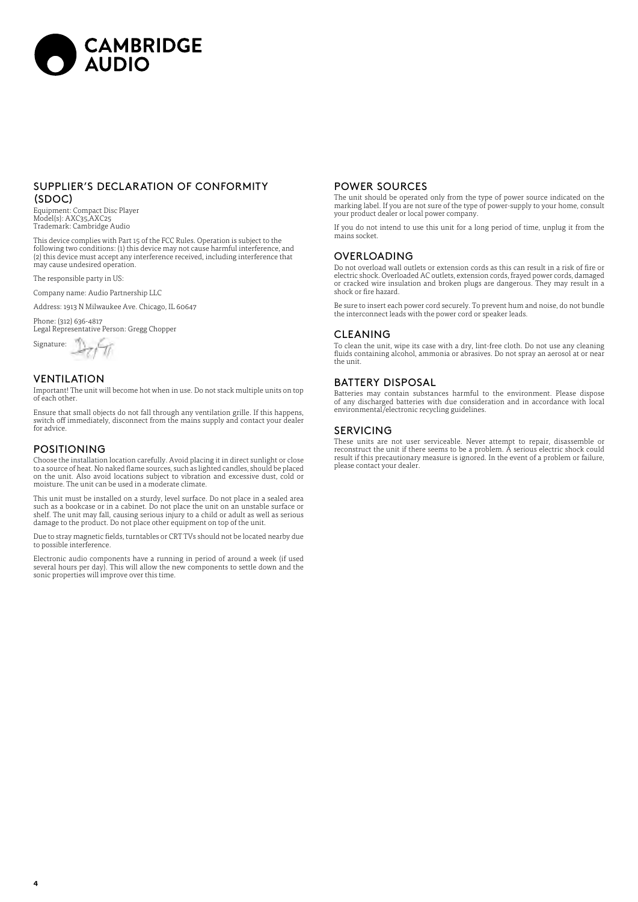

#### SUPPLIER'S DECLARATION OF CONFORMITY (SDOC)

Equipment: Compact Disc Player Model(s): AXC35,AXC25 Trademark: Cambridge Audio

This device complies with Part 15 of the FCC Rules. Operation is subject to the following two conditions: (1) this device may not cause harmful interference, and (2) this device must accept any interference received, including interference that may cause undesired operation.

The responsible party in US:

Company name: Audio Partnership LLC

Address: 1913 N Milwaukee Ave. Chicago, IL 60647

Phone: (312) 636-4817 Legal Representative Person: Gregg Chopper

 $\frac{1}{\frac{1}{\sqrt{2}}\sqrt{1}}$  Signature:  $\frac{1}{\sqrt{2}}$ 

#### VENTILATION

Important! The unit will become hot when in use. Do not stack multiple units on top of each other.

Ensure that small objects do not fall through any ventilation grille. If this happens, switch off immediately, disconnect from the mains supply and contact your dealer for advice.

#### POSITIONING

Choose the installation location carefully. Avoid placing it in direct sunlight or close to a source of heat. No naked flame sources, such as lighted candles, should be placed on the unit. Also avoid locations subject to vibration and excessive dust, cold or moisture. The unit can be used in a moderate climate.

This unit must be installed on a sturdy, level surface. Do not place in a sealed area such as a bookcase or in a cabinet. Do not place the unit on an unstable surface or<br>shelf. The unit may fall, causing serious injury to a child or adult as well as serious<br>damage to the product. Do not place other equipmen

Due to stray magnetic fields, turntables or CRT TVs should not be located nearby due to possible interference.

Electronic audio components have a running in period of around a week (if used several hours per day). This will allow the new components to settle down and the sonic properties will improve over this time.

#### POWER SOURCES

The unit should be operated only from the type of power source indicated on the marking label. If you are not sure of the type of power-supply to your home, consult your product dealer or local power company.

If you do not intend to use this unit for a long period of time, unplug it from the mains socket.

#### OVERLOADING

Do not overload wall outlets or extension cords as this can result in a risk of fire or electric shock. Overloaded AC outlets, extension cords, frayed power cords, damaged or cracked wire insulation and broken plugs are dangerous. They may result in a shock or fire hazard.

Be sure to insert each power cord securely. To prevent hum and noise, do not bundle the interconnect leads with the power cord or speaker leads.

#### **CLEANING**

To clean the unit, wipe its case with a dry, lint-free cloth. Do not use any cleaning fluids containing alcohol, ammonia or abrasives. Do not spray an aerosol at or near the unit.

#### BATTERY DISPOSAL

Batteries may contain substances harmful to the environment. Please dispose of any discharged batteries with due consideration and in accordance with local environmental/electronic recycling guidelines.

#### SERVICING

These units are not user serviceable. Never attempt to repair, disassemble or reconstruct the unit if there seems to be a problem. A serious electric shock could result if this precautionary measure is ignored. In the event of a problem or failure, please contact your dealer.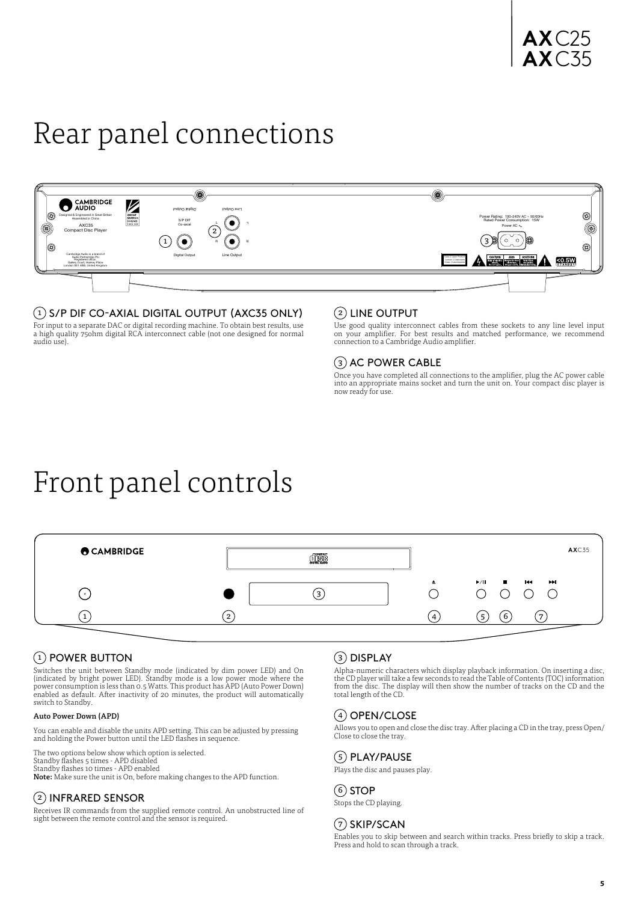# <span id="page-4-0"></span>Rear panel connections



### $(1)$  S/P DIF CO-AXIAL DIGITAL OUTPUT (AXC35 ONLY)

For input to a separate DAC or digital recording machine. To obtain best results, use a high quality 75ohm digital RCA interconnect cable (not one designed for normal audio use).

#### $(2)$  LINE OUTPUT

Use good quality interconnect cables from these sockets to any line level input on your amplifier. For best results and matched performance, we recommend connection to a Cambridge Audio amplifier.

# 3 AC POWER CABLE

Once you have completed all connections to the amplifier, plug the AC power cable into an appropriate mains socket and turn the unit on. Your compact disc player is now ready for use.

# Front panel controls



# (1) POWER BUTTON

Switches the unit between Standby mode (indicated by dim power LED) and On (indicated by bright power LED). Standby mode is a low power mode where the<br>power consumption is less than 0.5 Watts. This product has APD (Auto Power Down)<br>enabled as default. After inactivity of 20 minutes, the product w switch to Standby.

#### Auto Power Down (APD)

You can enable and disable the units APD setting. This can be adjusted by pressing and holding the Power button until the LED flashes in sequence.

The two options below show which option is selected.

Standby flashes 5 times - APD disabled<br>Standby flashes 10 times - APD enabled<br>**Note:** Make sure the unit is On, before making changes to the APD function.

# 2 INFRARED SENSOR

Receives IR commands from the supplied remote control. An unobstructed line of sight between the remote control and the sensor is required.

# 3 DISPLAY

Alpha-numeric characters which display playback information. On inserting a disc, the CD player will take a few seconds to read the Table of Contents (TOC) information from the disc. The display will then show the number of tracks on the CD and the total length of the CD.

# $(4)$  OPEN/CLOSE

Allows you to open and close the disc tray. After placing a CD in the tray, press Open/ Close to close the tray.

# $(5)$  PLAY/PAUSE

Plays the disc and pauses play.

#### 6 STOP

Stops the CD playing.

### $(7)$  SKIP/SCAN

Enables you to skip between and search within tracks. Press briefly to skip a track. Press and hold to scan through a track.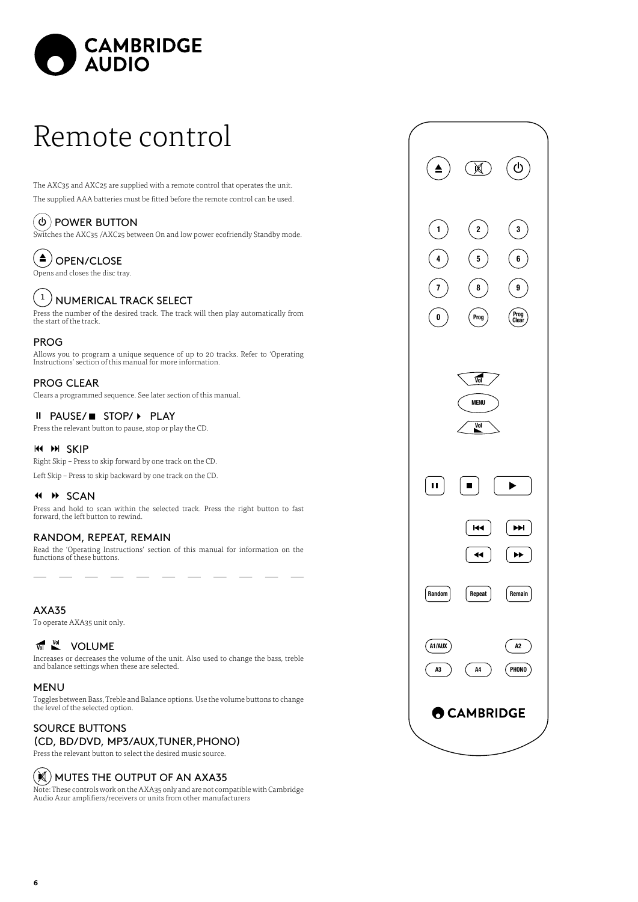<span id="page-5-0"></span>

# Remote control

The AXC35 and AXC25 are supplied with a remote control that operates the unit. The supplied AAA batteries must be fitted before the remote control can be used.

#### ัტ POWER BUTTON

Switches the AXC35 /AXC25 between On and low power ecofriendly Standby mode.

#### $\blacktriangle$ OPEN/CLOSE

Opens and closes the disc tray.

# $\left(1\right)$  NUMERICAL TRACK SELECT

Press the number of the desired track. The track will then play automatically from the start of the track.

#### PROG

Allows you to program a unique sequence of up to 20 tracks. Refer to 'Operating Instructions' section of this manual for more information.

## PROG CLEAR

Clears a programmed sequence. See later section of this manual.

#### II PAUSE/■ STOP/ ▶ PLAY

Press the relevant button to pause, stop or play the CD.

#### **K4 M SKIP**

Right Skip – Press to skip forward by one track on the CD.

Left Skip – Press to skip backward by one track on the CD.

#### **44 H SCAN**

Press and hold to scan within the selected track. Press the right button to fast forward, the left button to rewind.

### RANDOM, REPEAT, REMAIN

Read the 'Operating Instructions' section of this manual for information on the functions of these buttons.

#### AXA35

To operate AXA35 unit only.

# **WE VOLUME**

Increases or decreases the volume of the unit. Also used to change the bass, treble and balance settings when these are selected.

#### MENU

Toggles between Bass, Treble and Balance options. Use the volume buttons to change the level of the selected option.

## SOURCE BUTTONS (CD, BD/DVD, MP3/AUX,TUNER,PHONO)

Press the relevant button to select the desired music source.

# $(\boldsymbol{\Join})$  MUTES THE OUTPUT OF AN AXA35

Note: These controls work on the AXA35 only and are not compatible with Cambridge Audio Azur amplifiers/receivers or units from other manufacturers

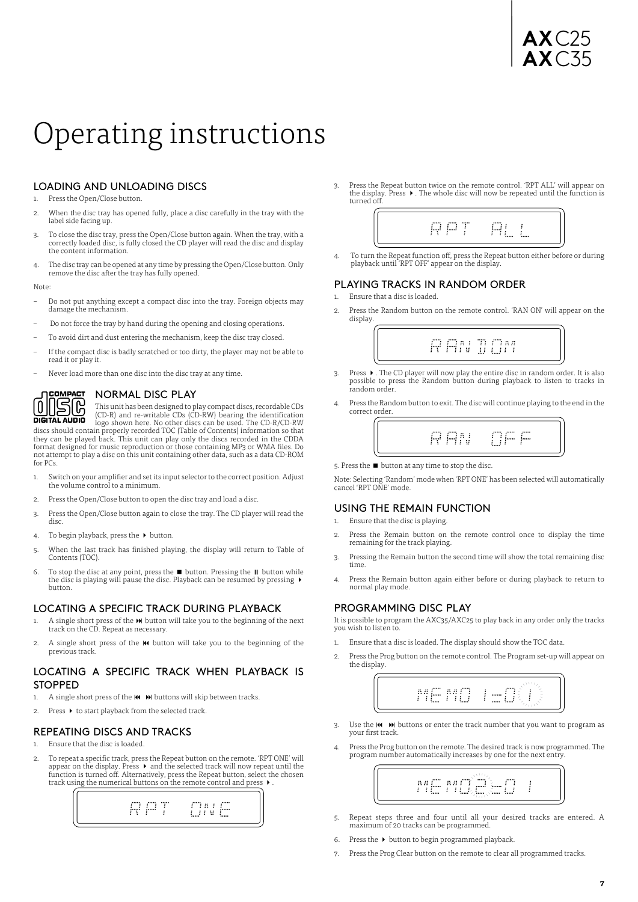# **AX**C25 **AX**C35

# <span id="page-6-0"></span>Operating instructions

# LOADING AND UNLOADING DISCS

1 Press the Open/Close button.

- 2. When the disc tray has opened fully, place a disc carefully in the tray with the label side facing up.
- 3. To close the disc tray, press the Open/Close button again. When the tray, with a correctly loaded disc, is fully closed the CD player will read the disc and display the content information.
- 4. The disc tray can be opened at any time by pressing the Open/Close button. Only remove the disc after the tray has fully opened.

Note:

- Do not put anything except a compact disc into the tray. Foreign objects may damage the mechanism.
- Do not force the tray by hand during the opening and closing operations.
- To avoid dirt and dust entering the mechanism, keep the disc tray closed.
- If the compact disc is badly scratched or too dirty, the player may not be able to read it or play it.
- Never load more than one disc into the disc tray at any time.



#### NORMAL DISC PLAY

This unit has been designed to play compact discs, recordable CDs<br> **DIGITAL AUDIO** logo shown here. No other discs can be used. The CD-RV<br>
discs should contain properly recorded TOC (Table of Contents) information so that<br>

format designed for music reproduction or those containing MP3 or WMA files. Do not attempt to play a disc on this unit containing other data, such as a data CD-ROM for PCs.

- 1. Switch on your amplifier and set its input selector to the correct position. Adjust the volume control to a minimum.
- 2. Press the Open/Close button to open the disc tray and load a disc.
- 3. Press the Open/Close button again to close the tray. The CD player will read the disc.
- 4. To begin playback, press the  $\rightarrow$  button.
- 5. When the last track has finished playing, the display will return to Table of Contents (TOC).
- 6. To stop the disc at any point, press the  $\blacksquare$  button. Pressing the  $\blacksquare$  button while the disc is playing will pause the disc. Playback can be resumed by pressing  $\blacktriangleright$ button.

#### LOCATING A SPECIFIC TRACK DURING PLAYBACK

- 1. A single short press of the  $\mathbf{M}$  button will take you to the beginning of the next track on the CD. Repeat as necessary.
- 2. A single short press of the  $\mathsf{M}\!\blacktriangleright$  button will take you to the beginning of the previous track.

#### LOCATING A SPECIFIC TRACK WHEN PLAYBACK IS **STOPPED**

- A single short press of the  $\overline{\mathsf{M}}$   $\overline{\mathsf{M}}$  buttons will skip between tracks.
- 2. Press  $\blacktriangleright$  to start playback from the selected track.

#### REPEATING DISCS AND TRACKS

- 1. Ensure that the disc is loaded
- 2. To repeat a specific track, press the Repeat button on the remote. 'RPT ONE' will appear on the display. Press  $\blacktriangleright$  and the selected track will now repeat until the<br>function is turned off. Alternatively, press the Repeat button, select the chosen track using the numerical buttons on the remote control and press  $\blacktriangleright$



3. Press the Repeat button twice on the remote control. 'RPT ALL' will appear on the display. Press  $\blacktriangleright$  . The whole disc will now be repeated until the function is turned off.



4. To turn the Repeat function off, press the Repeat button either before or during playback until 'RPT OFF' appear on the display.

#### PLAYING TRACKS IN RANDOM ORDER

- 1. Ensure that a disc is loaded.
- 2. Press the Random button on the remote control. 'RAN ON' will appear on the display.



- 3. Press  $\blacktriangleright$  . The CD player will now play the entire disc in random order. It is also possible to press the Random button during playback to listen to tracks in random order.
- 4. Press the Random button to exit. The disc will continue playing to the end in the correct order.



5. Press the  $\blacksquare$  button at any time to stop the disc.

Note: Selecting 'Random' mode when 'RPT ONE' has been selected will automatically cancel 'RPT ONE' mode.

#### USING THE REMAIN FUNCTION

- 1. Ensure that the disc is playing.
- Press the Remain button on the remote control once to display the time remaining for the track playing.
- 3. Pressing the Remain button the second time will show the total remaining disc time.
- 4. Press the Remain button again either before or during playback to return to normal play mode.

#### PROGRAMMING DISC PLAY

It is possible to program the AXC35/AXC25 to play back in any order only the tracks you wish to listen to.

- 1. Ensure that a disc is loaded. The display should show the TOC data.
- 2. Press the Prog button on the remote control. The Program set-up will appear on the display.



- 3. Use the  $\overline{M}$   $\rightarrow$  buttons or enter the track number that you want to program as your first track.
- 4. Press the Prog button on the remote. The desired track is now programmed. The program number automatically increases by one for the next entry.



- 5. Repeat steps three and four until all your desired tracks are entered. A maximum of 20 tracks can be programmed.
- 6. Press the  $\blacktriangleright$  button to begin programmed playback
- 7. Press the Prog Clear button on the remote to clear all programmed tracks.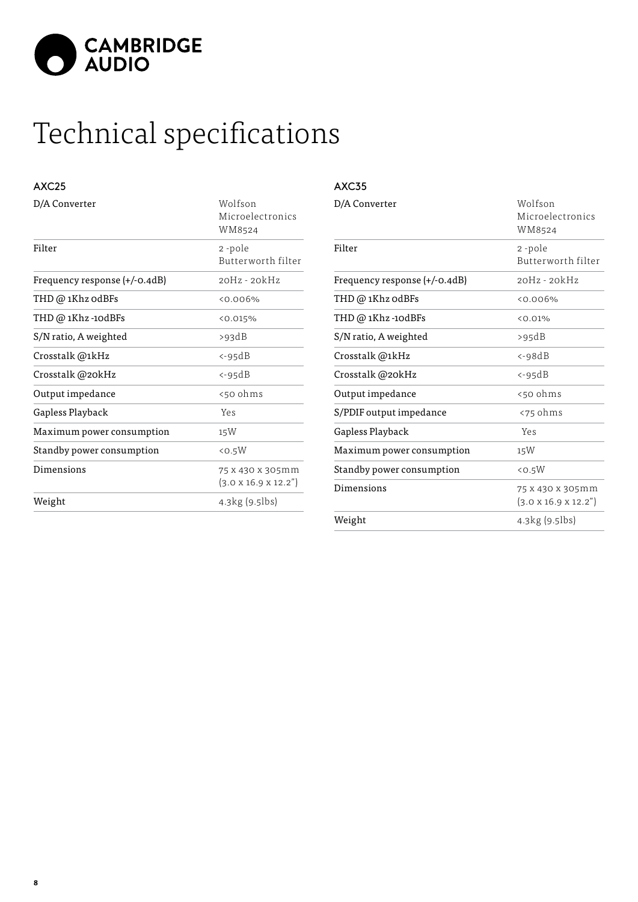<span id="page-7-0"></span>

# Technical specifications

# AXC25

| D/A Converter                 | Wolfson<br>Microelectronics<br>WM8524               |
|-------------------------------|-----------------------------------------------------|
| Filter                        | 2-pole<br>Butterworth filter                        |
| Frequency response (+/-0.4dB) | 20Hz - 20kHz                                        |
| THD @ 1Khz odBFs              | $0.006\%$                                           |
| THD @ 1Khz -10dBFs            | <0.015%                                             |
| S/N ratio, A weighted         | >93dB                                               |
| Crosstalk @1kHz               | <-95dB                                              |
| Crosstalk @20kHz              | <-95dB                                              |
| Output impedance              | <50 ohms                                            |
| Gapless Playback              | Yes                                                 |
| Maximum power consumption     | 15W                                                 |
| Standby power consumption     | $<$ 0.5 $W$                                         |
| Dimensions                    | 75 x 430 x 305mm<br>$(3.0 \times 16.9 \times 12.2)$ |
| Weight                        | 4.3kg (9.5lbs)                                      |

#### AXC35

| Filter<br>2-pole<br>Frequency response (+/-0.4dB)<br>$20Hz - 20kHz$<br>THD @ 1Khz odBFs<br>50.006%<br>THD @ 1Khz -10dBFs<br>< 0.01%<br>S/N ratio, A weighted<br>>95dB<br>Crosstalk @1kHz<br>$<-98dB$<br>Crosstalk @20kHz<br>$<-95dB$<br>Output impedance<br><50 ohms<br>S/PDIF output impedance<br><75 ohms<br>Gapless Playback<br>Yes<br>Maximum power consumption<br>15W<br>Standby power consumption<br>$<$ 0.5 $W$<br>Dimensions<br>75 x 430 x 305mm<br>$(3.0 \times 16.9 \times 12.2)$<br>4.3kg(9.5)<br>Weight | D/A Converter | Wolfson<br>Microelectronics<br>WM8524 |
|---------------------------------------------------------------------------------------------------------------------------------------------------------------------------------------------------------------------------------------------------------------------------------------------------------------------------------------------------------------------------------------------------------------------------------------------------------------------------------------------------------------------|---------------|---------------------------------------|
|                                                                                                                                                                                                                                                                                                                                                                                                                                                                                                                     |               | Butterworth filter                    |
|                                                                                                                                                                                                                                                                                                                                                                                                                                                                                                                     |               |                                       |
|                                                                                                                                                                                                                                                                                                                                                                                                                                                                                                                     |               |                                       |
|                                                                                                                                                                                                                                                                                                                                                                                                                                                                                                                     |               |                                       |
|                                                                                                                                                                                                                                                                                                                                                                                                                                                                                                                     |               |                                       |
|                                                                                                                                                                                                                                                                                                                                                                                                                                                                                                                     |               |                                       |
|                                                                                                                                                                                                                                                                                                                                                                                                                                                                                                                     |               |                                       |
|                                                                                                                                                                                                                                                                                                                                                                                                                                                                                                                     |               |                                       |
|                                                                                                                                                                                                                                                                                                                                                                                                                                                                                                                     |               |                                       |
|                                                                                                                                                                                                                                                                                                                                                                                                                                                                                                                     |               |                                       |
|                                                                                                                                                                                                                                                                                                                                                                                                                                                                                                                     |               |                                       |
|                                                                                                                                                                                                                                                                                                                                                                                                                                                                                                                     |               |                                       |
|                                                                                                                                                                                                                                                                                                                                                                                                                                                                                                                     |               |                                       |
|                                                                                                                                                                                                                                                                                                                                                                                                                                                                                                                     |               |                                       |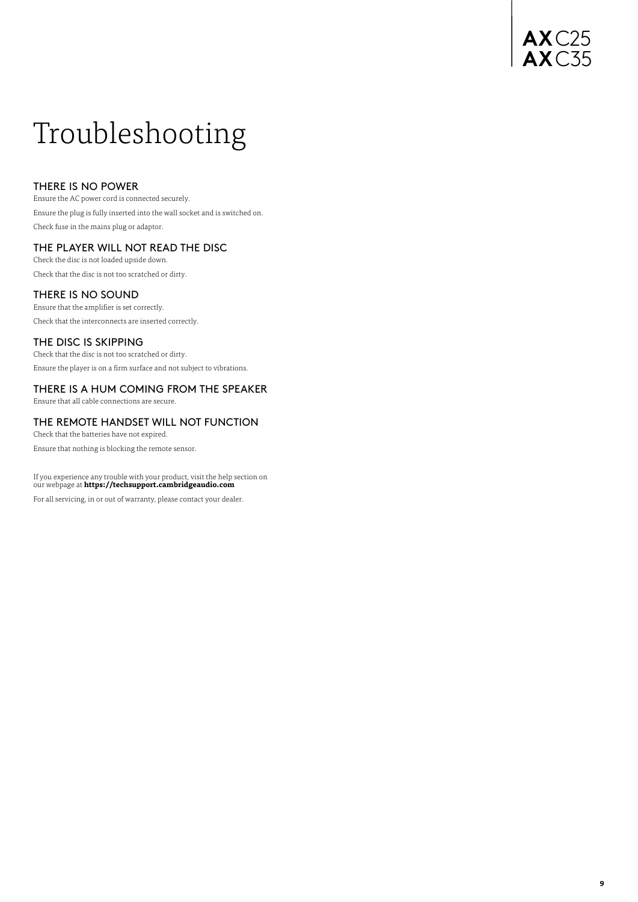# **AX**C25 **AX**C35

# <span id="page-8-0"></span>Troubleshooting

### THERE IS NO POWER

Ensure the AC power cord is connected securely. Ensure the plug is fully inserted into the wall socket and is switched on. Check fuse in the mains plug or adaptor.

## THE PLAYER WILL NOT READ THE DISC

Check the disc is not loaded upside down. Check that the disc is not too scratched or dirty.

### THERE IS NO SOUND

Ensure that the amplifier is set correctly. Check that the interconnects are inserted correctly.

### THE DISC IS SKIPPING

Check that the disc is not too scratched or dirty. Ensure the player is on a firm surface and not subject to vibrations.

# THERE IS A HUM COMING FROM THE SPEAKER

Ensure that all cable connections are secure.

# THE REMOTE HANDSET WILL NOT FUNCTION

Check that the batteries have not expired.

Ensure that nothing is blocking the remote sensor.

If you experience any trouble with your product, visit the help section on our webpage at **https://techsupport.cambridgeaudio.com**

For all servicing, in or out of warranty, please contact your dealer.